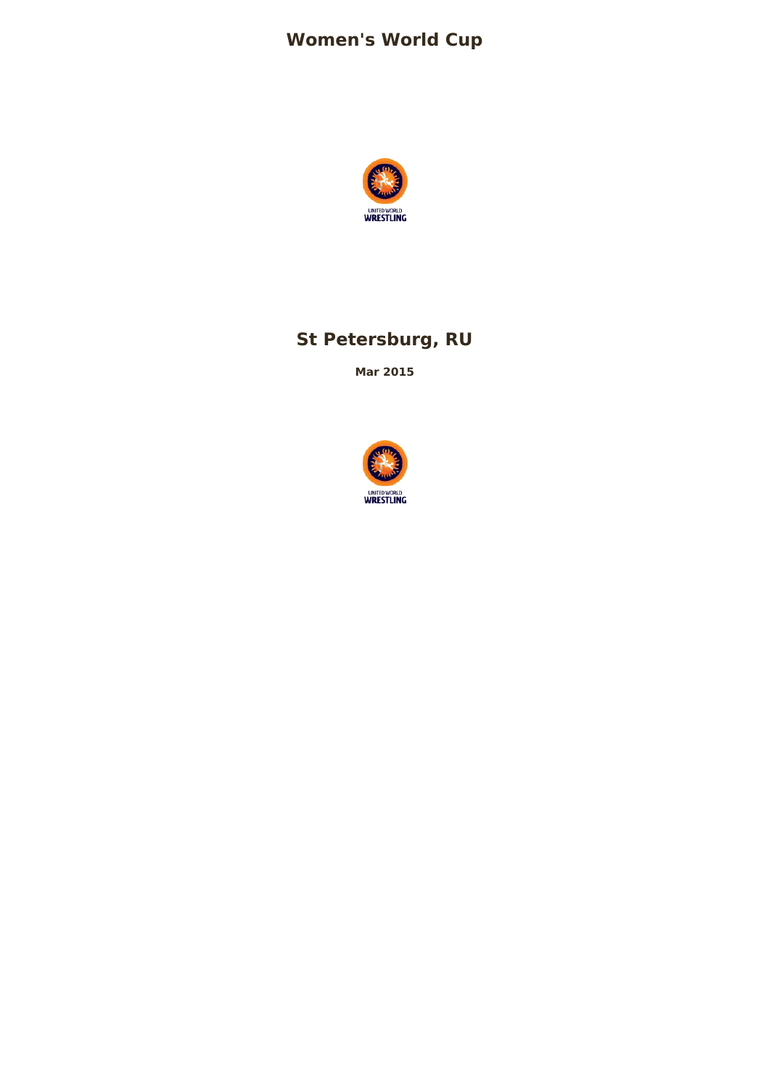# **Women's World Cup**



# **St Petersburg, RU**

**Mar 2015**

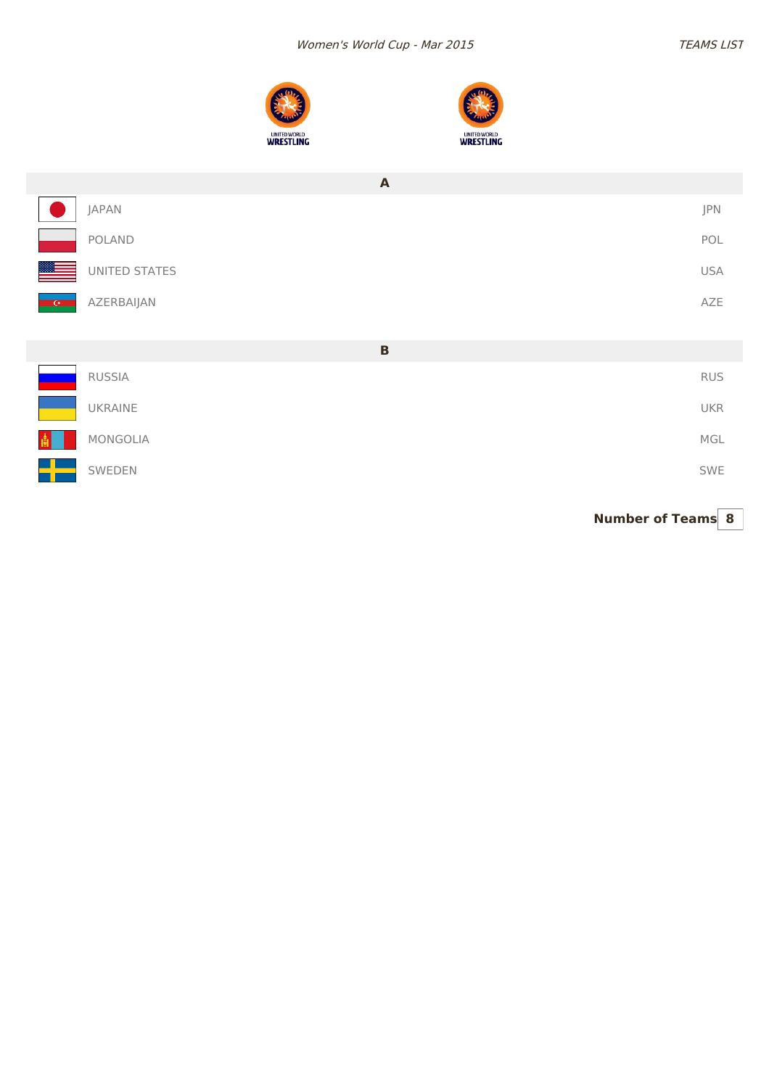



|               | $\mathbf{A}$  |            |  |
|---------------|---------------|------------|--|
|               | <b>JAPAN</b>  | JPN        |  |
|               | POLAND        | POL        |  |
|               | UNITED STATES | <b>USA</b> |  |
| <b>ACCEPT</b> | AZERBAIJAN    | AZE        |  |
|               |               |            |  |
|               | $\, {\bf B}$  |            |  |
|               | RUSSIA        | <b>RUS</b> |  |
|               | UKRAINE       | <b>UKR</b> |  |
|               | MONGOLIA      | MGL        |  |
|               | SWEDEN        | SWE        |  |

**Number of Teams 8**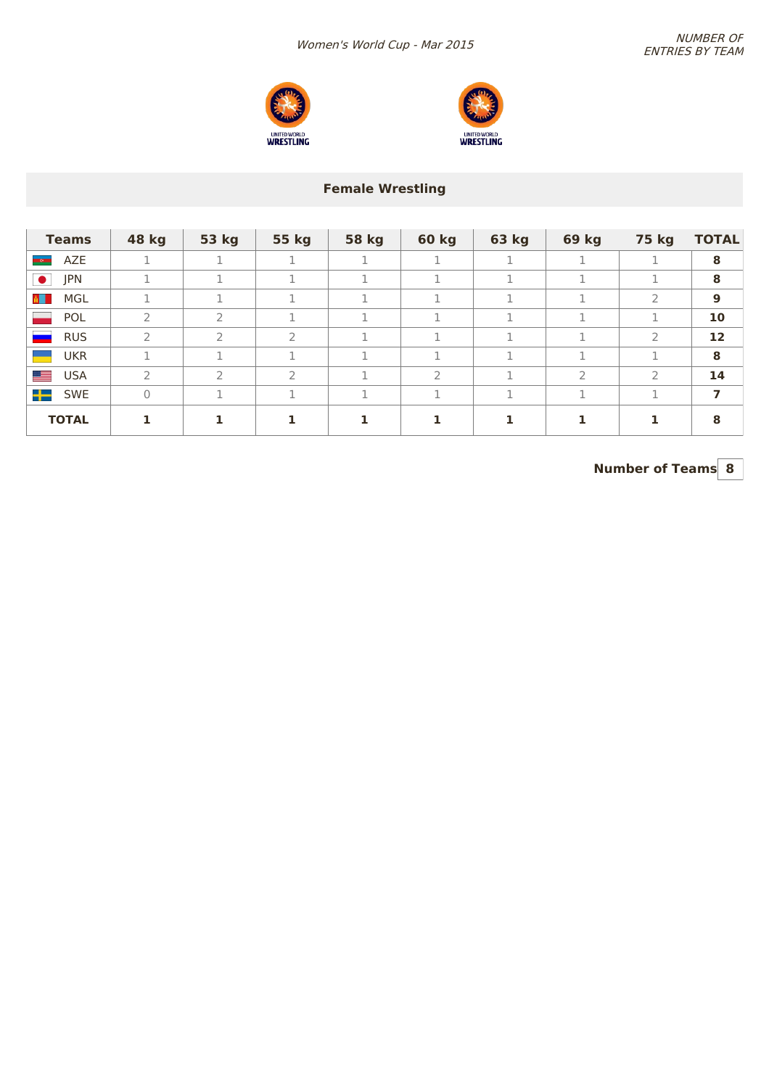



### **Female Wrestling**

| <b>Teams</b>         | 48 kg         | 53 kg         | 55 kg         | <b>58 kg</b> | <b>60 kg</b>  | 63 kg | <b>69 kg</b>  | 75 kg         | <b>TOTAL</b> |
|----------------------|---------------|---------------|---------------|--------------|---------------|-------|---------------|---------------|--------------|
| AZE<br><b>Second</b> |               |               |               |              |               |       |               |               | 8            |
| $\bullet$<br>JPN     |               |               |               |              |               | 1     |               |               | 8            |
| MGL<br>ALL I         |               |               |               |              |               |       | $\mathcal{L}$ | ∍             | 9            |
| POL                  | $\mathcal{P}$ | $\mathcal{P}$ |               |              |               |       |               |               | 10           |
| <b>RUS</b>           | $\mathcal{P}$ | $\mathcal{P}$ | $\mathcal{P}$ |              |               |       | п.            | $\mathcal{P}$ | 12           |
| <b>UKR</b>           |               | п.            | п.            |              |               |       | п             |               | 8            |
| <b>USA</b>           | 2             | っ             | $\mathcal{L}$ |              | $\mathcal{P}$ |       | $\mathcal{P}$ | $\mathcal{P}$ | 14           |
| ╺╋═<br>SWE           | $\mathbf{0}$  |               | п.            |              |               |       | п.            |               | 7            |
| <b>TOTAL</b>         |               |               |               |              |               |       |               |               | 8            |

**Number of Teams 8**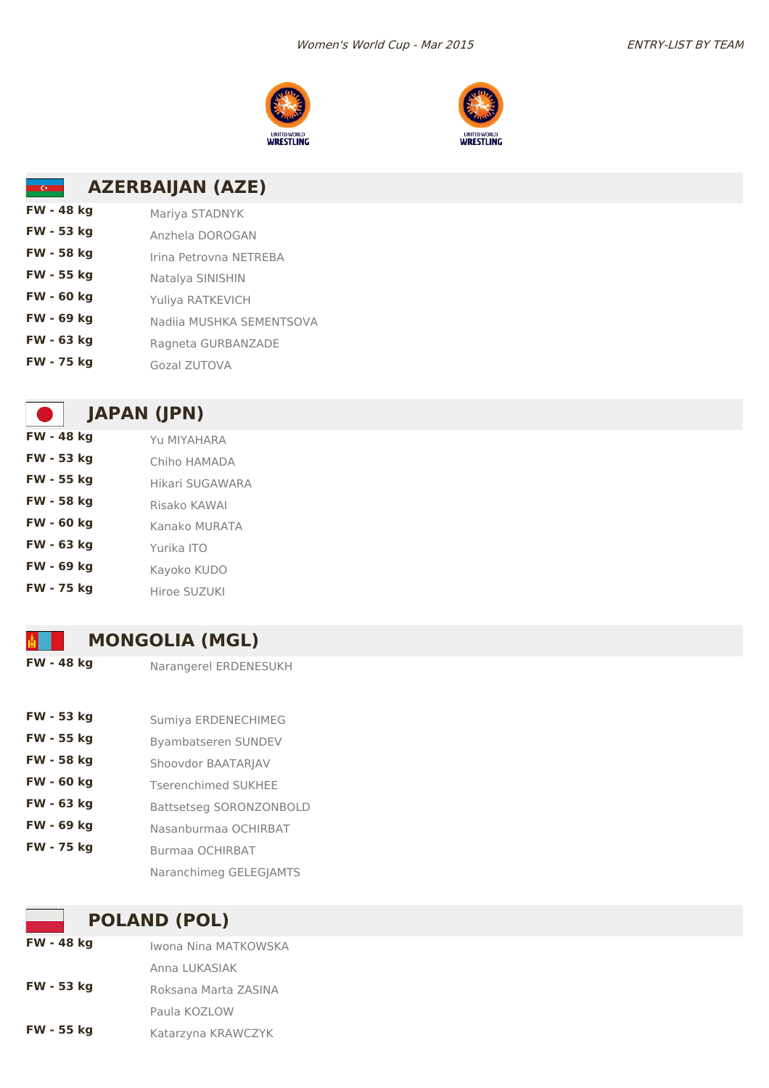



#### **AZERBAIJAN (AZE)**  $\overline{C}$

| FW - 48 kg        | Mariya STADNYK           |
|-------------------|--------------------------|
| FW - 53 kg        | Anzhela DOROGAN          |
| FW - 58 kg        | Irina Petrovna NETREBA   |
| FW - 55 kg        | Natalya SINISHIN         |
| <b>FW - 60 kg</b> | Yuliya RATKEVICH         |
| FW - 69 kg        | Nadija MUSHKA SEMENTSOVA |
| FW - 63 kg        | Ragneta GURBANZADE       |
| FW - 75 kg        | Gozal ZUTOVA             |

# **JAPAN (JPN)**

| FW - 48 kg | YU MIYAHARA     |
|------------|-----------------|
| FW - 53 kg | Chiho HAMADA    |
| FW - 55 kg | Hikari SUGAWARA |
| FW - 58 kg | Risako KAWAI    |
| FW - 60 kg | Kanako MURATA   |
| FW - 63 kg | Yurika ITO      |
| FW - 69 kg | Kayoko KUDO     |
| FW - 75 kg | Hiroe SUZUKI    |

### **MONGOLIA (MGL)**

**FW - 48 kg** Narangerel ERDENESUKH

- **FW 53 kg** Sumiya ERDENECHIMEG
- **FW 55 kg** Byambatseren SUNDEV
- **FW -58 kg** Shoovdor BAATARJAV
- **FW 60 kg** Tserenchimed SUKHEE
- **FW 63 kg** Battsetseg SORONZONBOLD
- **FW 69 kg** Nasanburmaa OCHIRBAT
- **FW 75 kg** Burmaa OCHIRBAT
	- Naranchimeg GELEGJAMTS

### **POLAND (POL)**

**FW - 48 kg** Iwona Nina MATKOWSKA Anna LUKASIAK **FW -53 kg** Roksana Marta ZASINA Paula KOZLOW **FW - 55 kg** Katarzyna KRAWCZYK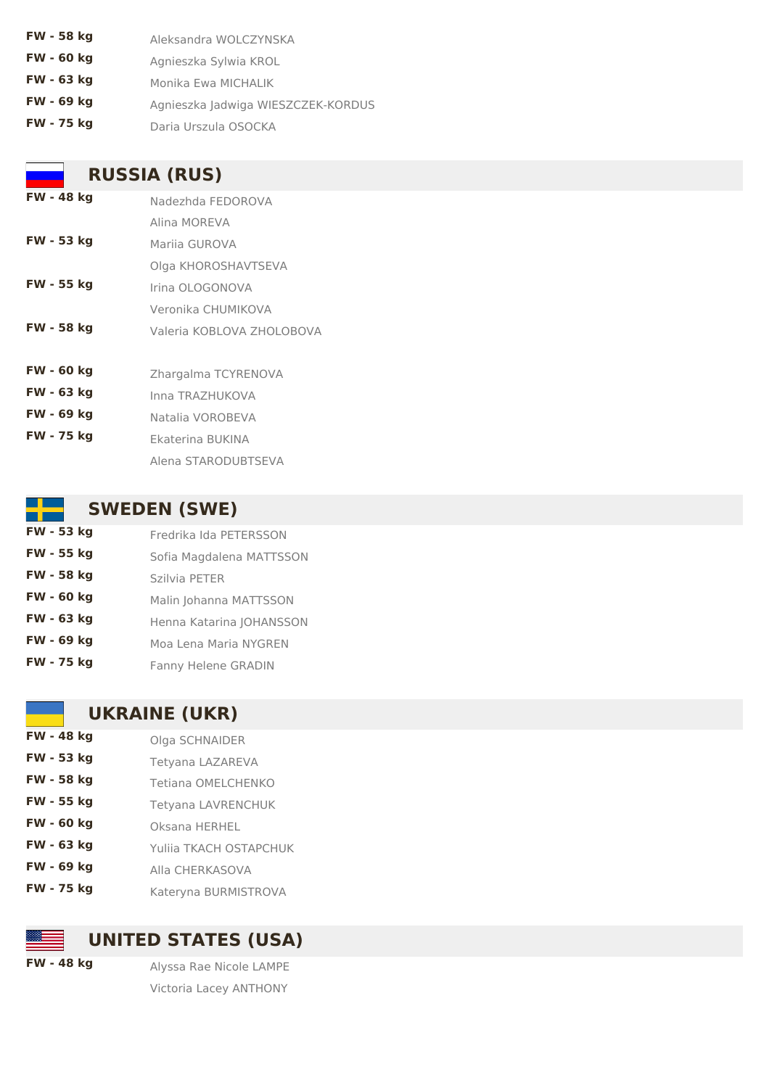**FW - 58 kg** Aleksandra WOLCZYNSKA **FW - 60 kg** Agnieszka Sylwia KROL **FW - 63 kg** Monika Ewa MICHALIK **FW - 69 kg** Agnieszka Jadwiga WIESZCZEK-KORDUS **FW - 75 kg** Daria Urszula OSOCKA

### **RUSSIA (RUS)**

| FW - 48 kg        | Nadezhda FEDOROVA         |
|-------------------|---------------------------|
|                   | Alina MORFVA              |
| FW - 53 kg        | Marija GUROVA             |
|                   | Olga KHOROSHAVTSEVA       |
| FW - 55 kg        | Irina OLOGONOVA           |
|                   | Veronika CHUMIKOVA        |
| FW - 58 kg        | Valeria KOBLOVA ZHOLOBOVA |
|                   |                           |
| FW - 60 kg        | Zhargalma TCYRENOVA       |
| FW - 63 kg        | Inna TRAZHUKOVA           |
| FW - 69 kg        | Natalia VOROBEVA          |
| <b>FW - 75 kg</b> | Ekaterina BUKINA          |
|                   | Alena STARODUBTSEVA       |

# **SWEDEN (SWE)**

| FW - 53 kg | Fredrika Ida PETERSSON     |
|------------|----------------------------|
| FW - 55 kg | Sofia Magdalena MATTSSON   |
| FW - 58 kg | Szilvia PETER              |
| FW - 60 kg | Malin Johanna MATTSSON     |
| FW - 63 kg | Henna Katarina JOHANSSON   |
| FW - 69 kg | Moa Lena Maria NYGREN      |
| FW - 75 kg | <b>Fanny Helene GRADIN</b> |

### **UKRAINE (UKR)**

| FW - 48 kg        | Olga SCHNAIDER            |
|-------------------|---------------------------|
| FW - 53 kg        | Tetyana LAZAREVA          |
| FW - 58 kg        | Tetiana OMELCHENKO        |
| FW - 55 kg        | <b>Tetyana LAVRENCHUK</b> |
| <b>FW - 60 kg</b> | Oksana HERHEL             |
| FW - 63 kg        | Yulija TKACH OSTAPCHUK    |
| FW - 69 kg        | Alla CHERKASOVA           |
| <b>FW - 75 kg</b> | Kateryna BURMISTROVA      |

### **UNITED STATES (USA)**

**FW - 48 kg** Alyssa Rae Nicole LAMPE Victoria Lacey ANTHONY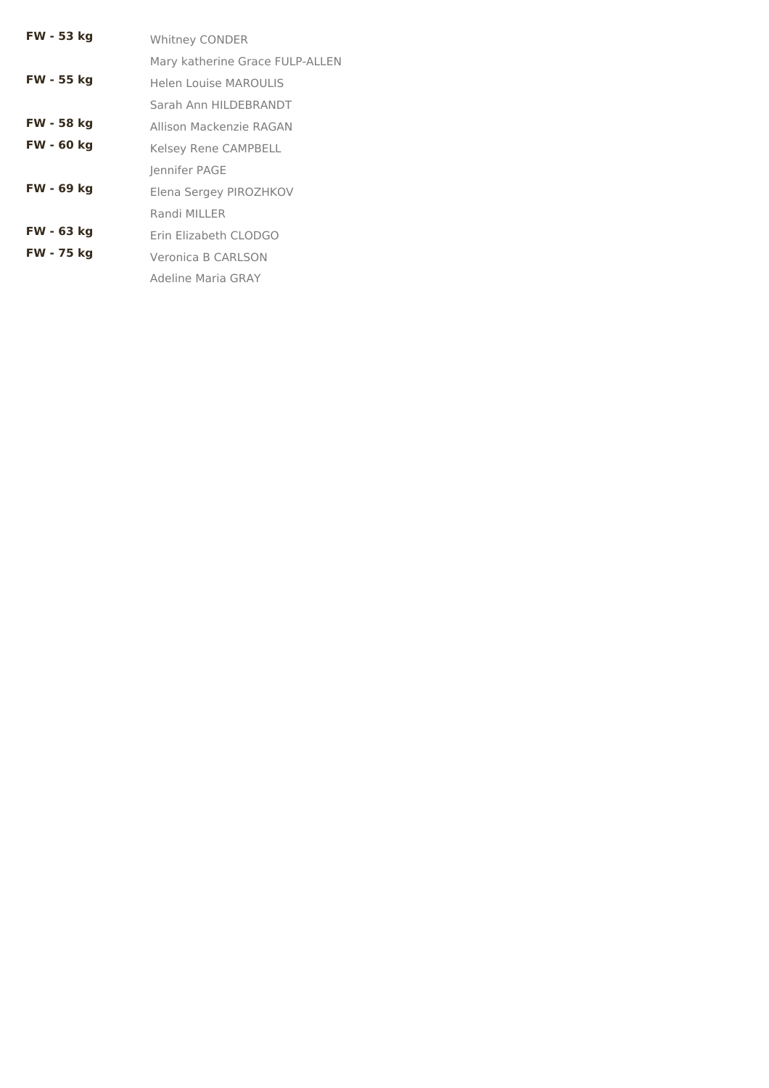| FW - 53 kg | <b>Whitney CONDER</b>           |
|------------|---------------------------------|
|            | Mary katherine Grace FULP-ALLEN |
| FW - 55 kg | <b>Helen Louise MAROULIS</b>    |
|            | Sarah Ann HILDEBRANDT           |
| FW - 58 kg | Allison Mackenzie RAGAN         |
| FW - 60 kg | <b>Kelsey Rene CAMPBELL</b>     |
|            | Jennifer PAGE                   |
| FW - 69 kg | Elena Sergey PIROZHKOV          |
|            | Randi MILLER                    |
| FW - 63 kg | Erin Elizabeth CLODGO           |
| FW - 75 kg | Veronica B CARLSON              |
|            | Adeline Maria GRAY              |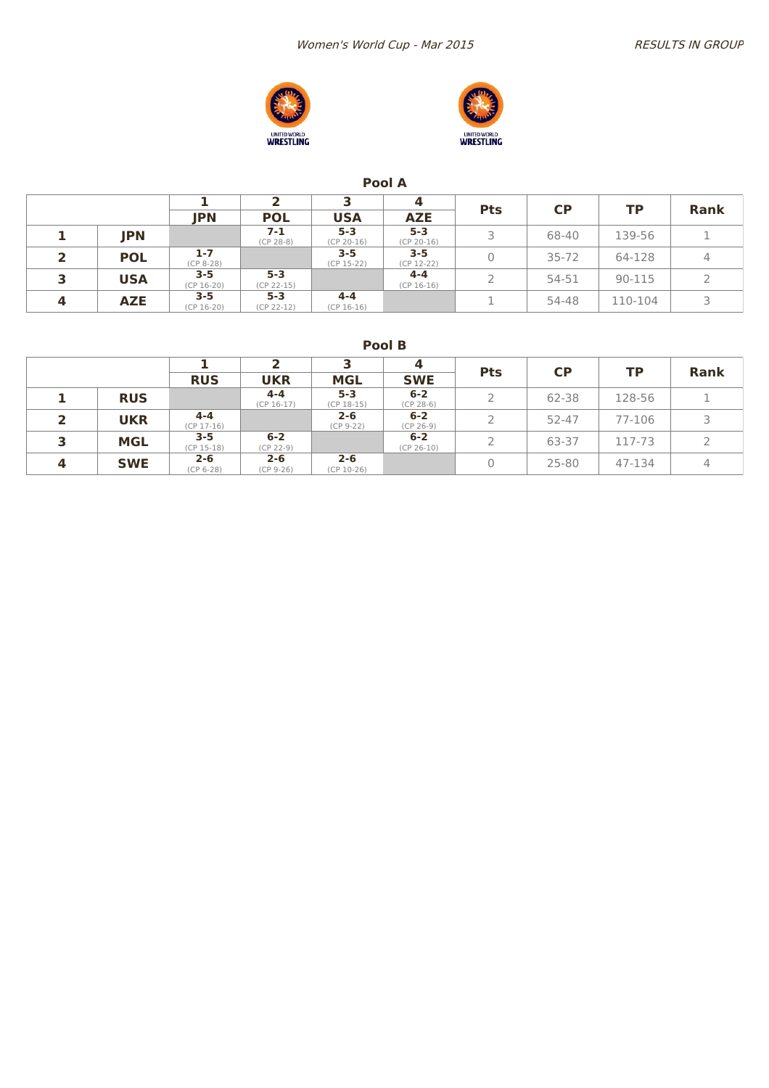



#### **Pool A**

|   |            |                         |                         |                         | 4                       |            |           |         |             |
|---|------------|-------------------------|-------------------------|-------------------------|-------------------------|------------|-----------|---------|-------------|
|   |            | <b>JPN</b>              | <b>POL</b>              | <b>USA</b>              | <b>AZE</b>              | <b>Pts</b> | <b>CP</b> | ТP      | <b>Rank</b> |
|   | <b>JPN</b> |                         | $7 - 1$<br>$(CP 28-8)$  | $5 - 3$<br>$(CP 20-16)$ | $5 - 3$<br>$(CP 20-16)$ |            | 68-40     | 139-56  |             |
|   | <b>POL</b> | $1 - 7$<br>$(CP 8-28)$  |                         | $3 - 5$<br>$(CP 15-22)$ | $3 - 5$<br>$(CP 12-22)$ |            | $35 - 72$ | 64-128  | 4           |
| 3 | <b>USA</b> | $3 - 5$<br>$(CP 16-20)$ | $5 - 3$<br>$(CP 22-15)$ |                         | $4 - 4$<br>$(CP 16-16)$ |            | 54-51     | 90-115  |             |
| 4 | <b>AZE</b> | $3 - 5$<br>$(CP 16-20)$ | $5 - 3$<br>$(CP 22-12)$ | $4 - 4$<br>$(CP 16-16)$ |                         |            | 54-48     | 110-104 |             |

**Pool B**

|                         |            |                         |                         |                         | 4                       | <b>Pts</b> | <b>CP</b> | ТP     | <b>Rank</b> |
|-------------------------|------------|-------------------------|-------------------------|-------------------------|-------------------------|------------|-----------|--------|-------------|
|                         |            | <b>RUS</b>              | <b>UKR</b>              | <b>MGL</b>              | <b>SWE</b>              |            |           |        |             |
|                         | <b>RUS</b> |                         | $4 - 4$<br>$(CP 16-17)$ | $5 - 3$<br>$(CP 18-15)$ | $6 - 2$<br>$(CP 28-6)$  | 2          | 62-38     | 128-56 |             |
|                         | <b>UKR</b> | $4 - 4$<br>$(CP 17-16)$ |                         | $2 - 6$<br>$(CP 9-22)$  | $6 - 2$<br>$(CP 26-9)$  | 2          | 52-47     | 77-106 |             |
|                         | <b>MGL</b> | $3 - 5$<br>$(CP 15-18)$ | $6 - 2$<br>$(CP 22-9)$  |                         | $6 - 2$<br>$(CP 26-10)$ | 2          | 63-37     | 117-73 |             |
| $\overline{\mathbf{4}}$ | <b>SWE</b> | $2 - 6$<br>$(CP 6-28)$  | $2 - 6$<br>$(CP 9-26)$  | $2 - 6$<br>$(CP 10-26)$ |                         | 0          | $25 - 80$ | 47-134 | 4           |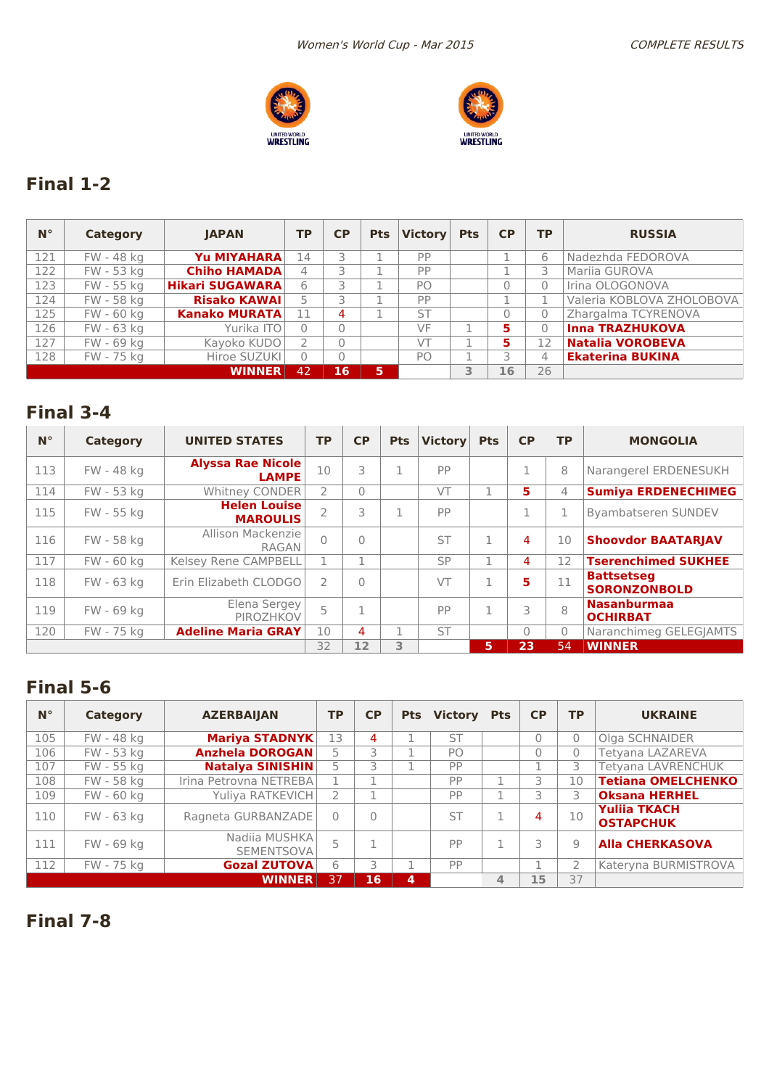



# **Final 1-2**

| $N^{\circ}$ | Category   | <b>IAPAN</b>           | <b>TP</b> | CP. | <b>Pts</b> | <b>Victory</b> | <b>Pts</b> | CP | <b>TP</b> | <b>RUSSIA</b>             |
|-------------|------------|------------------------|-----------|-----|------------|----------------|------------|----|-----------|---------------------------|
| 121         | FW - 48 kg | Yu MIYAHARA            | 14        |     |            | PP             |            |    | 6         | Nadezhda FEDOROVA         |
| 122         | FW - 53 kg | <b>Chiho HAMADA</b>    | 4         |     |            | PP             |            |    |           | <b>Marija GUROVA</b>      |
| 123         | FW - 55 kg | <b>Hikari SUGAWARA</b> | 6         |     |            | PO             |            | O  | 0         | Irina OLOGONOVA           |
| 124         | FW - 58 kg | <b>Risako KAWAI</b>    |           |     |            | PP             |            |    |           | Valeria KOBLOVA ZHOLOBOVA |
| 125         | FW - 60 kg | <b>Kanako MURATA</b>   | 11        | 4   |            | ST             |            | 0  | 0         | Zhargalma TCYRENOVA       |
| 126         | FW - 63 kg | Yurika ITO             |           |     |            | VF             |            | 5  | 0         | <b>Inna TRAZHUKOVA</b>    |
| 127         | FW - 69 kg | Kayoko KUDO            |           |     |            | VT             |            | 5  | 12        | <b>Natalia VOROBEVA</b>   |
| 128         | FW - 75 kg | Hiroe SUZUKI           |           |     |            | PO             |            |    | 4         | <b>Ekaterina BUKINA</b>   |
|             |            | <b>WINNER</b>          | 42        | 16  | 5          |                | 3          | 16 | 26        |                           |

### **Final 3-4**

| $N^{\circ}$ | Category   | <b>UNITED STATES</b>                     | <b>TP</b> | <b>CP</b> | <b>Pts</b> | <b>Victory</b> | <b>Pts</b> | <b>CP</b> | <b>TP</b> | <b>MONGOLIA</b>                          |
|-------------|------------|------------------------------------------|-----------|-----------|------------|----------------|------------|-----------|-----------|------------------------------------------|
| 113         | FW - 48 kg | <b>Alyssa Rae Nicole</b><br><b>LAMPE</b> | 10        | 3         |            | PP             |            |           | 8         | Narangerel ERDENESUKH                    |
| 114         | FW - 53 kg | Whitney CONDER                           |           | $\Omega$  |            | VT             |            | 5.        | 4         | <b>Sumiya ERDENECHIMEG</b>               |
| 115         | FW - 55 kg | <b>Helen Louise</b><br><b>MAROULIS</b>   |           | 3         |            | PP             |            |           |           | Byambatseren SUNDEV                      |
| 116         | FW - 58 kg | Allison Mackenzie<br>RAGAN               | 0         | $\bigcap$ |            | <b>ST</b>      |            | 4         | 10        | <b>Shoovdor BAATARJAV</b>                |
| 117         | FW - 60 kg | Kelsey Rene CAMPBELL                     |           |           |            | SP             |            | 4         | 12        | <b>Tserenchimed SUKHEE</b>               |
| 118         | FW - 63 kg | Erin Elizabeth CLODGO                    |           |           |            | VT             |            | 5         | 11        | <b>Battsetseg</b><br><b>SORONZONBOLD</b> |
| 119         | FW - 69 kg | Elena Sergey<br>PIROZHKOV                | 5         |           |            | PP             |            | 3         | 8         | <b>Nasanburmaa</b><br><b>OCHIRBAT</b>    |
| 120         | FW - 75 kg | <b>Adeline Maria GRAY</b>                | 10        | 4         |            | <b>ST</b>      |            | 0         | 0         | Naranchimeg GELEGJAMTS                   |
|             |            |                                          | 32        | 12        | 3          |                | 5          | 23        | 54        | <b>WINNER</b>                            |

### **Final 5-6**

| $N^{\circ}$ | <b>Category</b> | <b>AZERBAIJAN</b>                  | <b>TP</b> | CP | <b>Pts</b> | <b>Victory</b> | <b>Pts</b> | <b>CP</b> | <b>TP</b> | <b>UKRAINE</b>                          |
|-------------|-----------------|------------------------------------|-----------|----|------------|----------------|------------|-----------|-----------|-----------------------------------------|
| 105         | FW - 48 kg      | <b>Mariya STADNYK</b>              | 13        | 4  |            | <b>ST</b>      |            | $\Omega$  | 0         | Olga SCHNAIDER                          |
| 106         | FW - 53 kg      | <b>Anzhela DOROGAN</b>             | 5         | 3  |            | P <sub>O</sub> |            | 0         | 0         | Tetyana LAZAREVA                        |
| 107         | FW - 55 kg      | <b>Natalya SINISHIN</b>            | 5         | 3  |            | PP             |            |           | 3         | Tetyana LAVRENCHUK                      |
| 108         | FW - 58 kg      | Irina Petrovna NETREBA             | n.        |    |            | PP             |            | 3         | 10        | <b>Tetiana OMELCHENKO</b>               |
| 109         | FW - 60 kg      | Yuliya RATKEVICH                   | 2         |    |            | PP             |            | 3         | 3         | <b>Oksana HERHEL</b>                    |
| 110         | FW - 63 kg      | Ragneta GURBANZADE                 | $\Omega$  | 0  |            | <b>ST</b>      |            | 4         | 10        | <b>Yuliia TKACH</b><br><b>OSTAPCHUK</b> |
| 111         | FW - 69 kg      | Nadija MUSHKA<br><b>SEMENTSOVA</b> | 5         |    |            | PP             |            | 3         | 9         | <b>Alla CHERKASOVA</b>                  |
| 112         | FW - 75 kg      | <b>Gozal ZUTOVA</b>                | 6         | 3  |            | PP             |            |           |           | Kateryna BURMISTROVA                    |
|             |                 | <b>WINNER</b>                      | 137       | 16 | 4          |                | 4          | 15        | 37        |                                         |

**Final 7-8**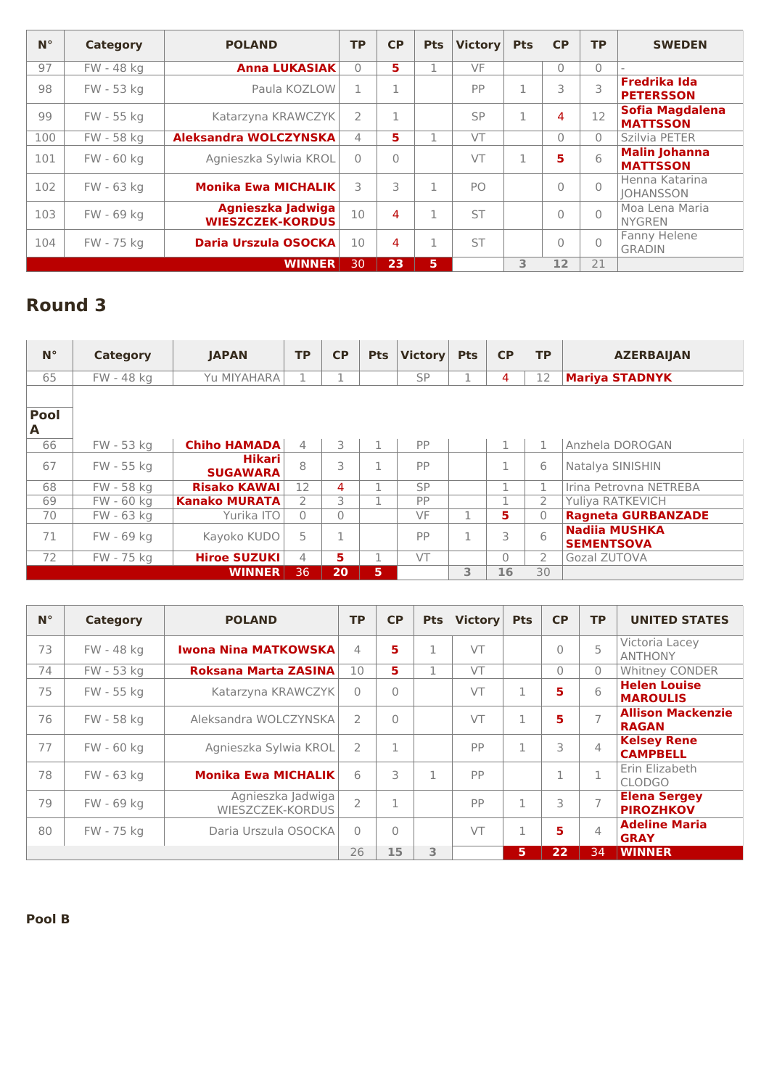| $N^{\circ}$ | Category   | <b>POLAND</b>                                | <b>TP</b> | CP       | <b>Pts</b>   | <b>Victory</b> | <b>Pts</b> | CP        | <b>TP</b> | <b>SWEDEN</b>                             |
|-------------|------------|----------------------------------------------|-----------|----------|--------------|----------------|------------|-----------|-----------|-------------------------------------------|
| 97          | FW - 48 kg | <b>Anna LUKASIAK</b>                         | $\Omega$  | 5        | п            | VF             |            | $\Omega$  | $\Omega$  |                                           |
| 98          | FW - 53 kg | Paula KOZLOW                                 |           |          |              | PP             |            | 3         | 3         | <b>Fredrika Ida</b><br><b>PETERSSON</b>   |
| 99          | FW - 55 kg | Katarzyna KRAWCZYK                           | 2         | ×,       |              | SP             |            | 4         | 12        | <b>Sofia Magdalena</b><br><b>MATTSSON</b> |
| 100         | FW - 58 kg | <b>Aleksandra WOLCZYNSKA</b>                 | 4         | 5        |              | VT             |            | $\bigcap$ | $\Omega$  | Szilvia PETER                             |
| 101         | FW - 60 kg | Agnieszka Sylwia KROL                        | $\Omega$  | $\Omega$ |              | VT             |            | 5         | 6         | <b>Malin Johanna</b><br><b>MATTSSON</b>   |
| 102         | FW - 63 kg | <b>Monika Ewa MICHALIK</b>                   | 3         | 3        | 1            | P <sub>O</sub> |            | $\Omega$  | $\Omega$  | Henna Katarina<br><b>JOHANSSON</b>        |
| 103         | FW - 69 kg | Agnieszka Jadwiga<br><b>WIESZCZEK-KORDUS</b> | 10        | 4        | 1            | <b>ST</b>      |            | $\Omega$  | $\Omega$  | Moa Lena Maria<br><b>NYGREN</b>           |
| 104         | FW - 75 kg | Daria Urszula OSOCKA                         | 10        | 4        | $\mathbf{1}$ | <b>ST</b>      |            | $\Omega$  | $\Omega$  | Fanny Helene<br><b>GRADIN</b>             |
|             |            | <b>WINNER</b>                                | 30        | 23       | 5            |                | 3.         | 12        | 21        |                                           |

# **Round 3**

| $N^{\circ}$ | Category   | <b>IAPAN</b>              | <b>TP</b>         | <b>CP</b> | <b>Pts</b> | <b>Victory</b> | <b>Pts</b> | <b>CP</b>    | <b>TP</b>     | <b>AZERBAIJAN</b>                         |
|-------------|------------|---------------------------|-------------------|-----------|------------|----------------|------------|--------------|---------------|-------------------------------------------|
| 65          | FW - 48 kg | Yu MIYAHARA               | 1                 |           |            | <b>SP</b>      |            | 4            | 12            | <b>Mariya STADNYK</b>                     |
|             |            |                           |                   |           |            |                |            |              |               |                                           |
| <b>Pool</b> |            |                           |                   |           |            |                |            |              |               |                                           |
| A           |            |                           |                   |           |            |                |            |              |               |                                           |
| 66          | FW - 53 kg | <b>Chiho HAMADA</b>       | $\overline{4}$    | 3.        |            | PP             |            | $\mathbf{1}$ | 1             | Anzhela DOROGAN                           |
| 67          | FW - 55 kg | Hikari<br><b>SUGAWARA</b> | 8                 | 3         |            | PP             |            |              | 6             | Natalya SINISHIN                          |
| 68          | FW - 58 kg | <b>Risako KAWAI</b>       | $12 \overline{ }$ | 4         |            | SP             |            | 1            | 1             | Irina Petrovna NETREBA                    |
| 69          | FW - 60 kg | <b>Kanako MURATA</b>      | $\overline{2}$    | 3.        |            | PP             |            |              | 2             | Yuliya RATKEVICH                          |
| 70          | FW - 63 kg | Yurika ITO                | $\Omega$          | $\bigcap$ |            | VF             |            | 5.           | $\Omega$      | <b>Ragneta GURBANZADE</b>                 |
| 71          | FW - 69 kg | Kayoko KUDO               | 5                 |           |            | PP             | п.         | 3            | 6             | <b>Nadija MUSHKA</b><br><b>SEMENTSOVA</b> |
| 72          | FW - 75 kg | <b>Hiroe SUZUKI</b>       | 4                 | 5.        |            | VT             |            | $\bigcap$    | $\mathcal{P}$ | Gozal ZUTOVA                              |
|             |            | <b>WINNER</b>             | 36                | 20        | 5          |                | 3          | 16           | 30            |                                           |

| $N^{\circ}$ | <b>Category</b> | <b>POLAND</b>                         | <b>TP</b>      | CP       | <b>Pts</b> | <b>Victory</b> | <b>Pts</b> | <b>CP</b> | <b>TP</b>      | <b>UNITED STATES</b>                     |
|-------------|-----------------|---------------------------------------|----------------|----------|------------|----------------|------------|-----------|----------------|------------------------------------------|
| 73          | FW - 48 kg      | <b>Iwona Nina MATKOWSKA</b>           | 4              | 5        | 1          | VT             |            | $\Omega$  | 5              | Victoria Lacey<br><b>ANTHONY</b>         |
| 74          | FW - 53 kg      | Roksana Marta ZASINA                  | 10             | 5.       | <b>n</b>   | VT             |            | $\Omega$  | $\Omega$       | <b>Whitney CONDER</b>                    |
| 75          | FW - 55 kg      | Katarzyna KRAWCZYK                    | $\Omega$       | $\Omega$ |            | VT             | 1          | 5         | 6              | <b>Helen Louise</b><br><b>MAROULIS</b>   |
| 76          | FW - 58 kg      | Aleksandra WOLCZYNSKA                 | $\overline{2}$ | $\Omega$ |            | VT             | 1          | 5         | $\overline{7}$ | <b>Allison Mackenzie</b><br><b>RAGAN</b> |
| 77          | FW - 60 kg      | Agnieszka Sylwia KROL                 | $\overline{2}$ | 1        |            | <b>PP</b>      | 1          | 3         | $\overline{4}$ | <b>Kelsey Rene</b><br><b>CAMPBELL</b>    |
| 78          | FW - 63 kg      | <b>Monika Ewa MICHALIK</b>            | 6              | 3        | 1          | <b>PP</b>      |            |           | п.             | Erin Elizabeth<br><b>CLODGO</b>          |
| 79          | FW - 69 kg      | Agnieszka Jadwiga<br>WIESZCZEK-KORDUS | $\overline{2}$ | п.       |            | PP             | 1          | 3         | $\overline{ }$ | <b>Elena Sergey</b><br><b>PIROZHKOV</b>  |
| 80          | FW - 75 kg      | Daria Urszula OSOCKA                  | $\Omega$       | $\Omega$ |            | $\sqrt{T}$     | п          | 5         | $\Delta$       | <b>Adeline Maria</b><br><b>GRAY</b>      |
|             |                 |                                       | 26             | 15       | 3          |                | 5          | 22        | 34             | <b>WINNER</b>                            |

**Pool B**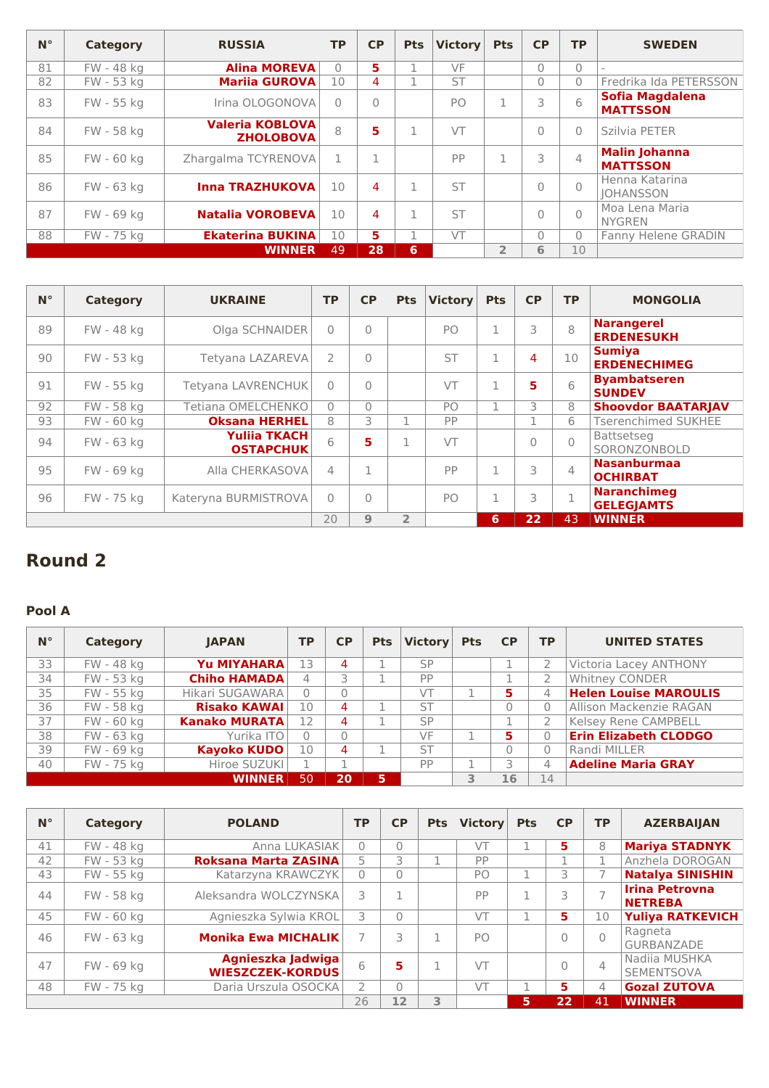| $N^{\circ}$ | Category   | <b>RUSSIA</b>                              | <b>TP</b> | <b>CP</b>      | <b>Pts</b> | <b>Victory</b> | <b>Pts</b>     | <b>CP</b> | <b>TP</b>      | <b>SWEDEN</b>                             |
|-------------|------------|--------------------------------------------|-----------|----------------|------------|----------------|----------------|-----------|----------------|-------------------------------------------|
| 81          | FW - 48 kg | <b>Alina MOREVA</b>                        | $\Omega$  | 5.             | 1          | VF             |                | $\Omega$  | $\bigcap$      |                                           |
| 82          | FW - 53 kg | <b>Marija GUROVA</b>                       | 10        | 4              |            | <b>ST</b>      |                | $\Omega$  | $\bigcap$      | Fredrika Ida PETERSSON                    |
| 83          | FW - 55 kg | Irina OLOGONOVA                            | $\Omega$  | $\overline{0}$ |            | P <sub>O</sub> |                | 3         | 6              | <b>Sofia Magdalena</b><br><b>MATTSSON</b> |
| 84          | FW - 58 kg | <b>Valeria KOBLOVA</b><br><b>ZHOLOBOVA</b> | 8         | 5              | 1          | VT             |                | $\Omega$  | $\bigcap$      | Szilvia PETER                             |
| 85          | FW - 60 kg | Zhargalma TCYRENOVA                        | 1         | $\mathbf 1$    |            | PP             | п              | 3         | $\overline{4}$ | <b>Malin Johanna</b><br><b>MATTSSON</b>   |
| 86          | FW - 63 kg | <b>Inna TRAZHUKOVA</b>                     | 10        | 4              | 1          | <b>ST</b>      |                | $\Omega$  | $\cap$         | Henna Katarina<br><b>IOHANSSON</b>        |
| 87          | FW - 69 kg | <b>Natalia VOROBEVA</b>                    | 10        | 4              | 1          | <b>ST</b>      |                | $\bigcap$ | $\bigcap$      | Moa Lena Maria<br><b>NYGREN</b>           |
| 88          | FW - 75 kg | <b>Ekaterina BUKINA</b>                    | 10        | 5.             |            | VT             |                | $\Omega$  | $\bigcap$      | <b>Fanny Helene GRADIN</b>                |
|             |            | <b>WINNER</b>                              | 49        | 28             | 6          |                | $\overline{2}$ | 6         | 10             |                                           |

| $N^{\circ}$ | Category   | <b>UKRAINE</b>                          | <b>TP</b>     | <b>CP</b> | <b>Pts</b>     | <b>Victory</b> | <b>Pts</b> | <b>CP</b> | <b>TP</b>      | <b>MONGOLIA</b>                         |
|-------------|------------|-----------------------------------------|---------------|-----------|----------------|----------------|------------|-----------|----------------|-----------------------------------------|
| 89          | FW - 48 kg | Olga SCHNAIDER                          | $\bigcap$     | $\Omega$  |                | PO             |            | 3         | 8              | <b>Narangerel</b><br><b>ERDENESUKH</b>  |
| 90          | FW - 53 kg | Tetyana LAZAREVA                        | $\mathcal{P}$ | $\Omega$  |                | <b>ST</b>      |            | 4         | 10             | <b>Sumiya</b><br><b>ERDENECHIMEG</b>    |
| 91          | FW - 55 kg | Tetyana LAVRENCHUK                      | $\bigcap$     | $\Omega$  |                | VT             |            | 5         | 6              | <b>Byambatseren</b><br><b>SUNDEV</b>    |
| 92          | FW - 58 kg | Tetiana OMELCHENKO                      | $\Omega$      | $\bigcap$ |                | PO             |            | Β         | 8              | <b>Shoovdor BAATARJAV</b>               |
| 93          | FW - 60 kg | <b>Oksana HERHEL</b>                    | 8             | 3         |                | PP             |            |           | 6              | <b>Tserenchimed SUKHEE</b>              |
| 94          | FW - 63 kg | <b>Yulija TKACH</b><br><b>OSTAPCHUK</b> | 6             | 5         | п              | VT             |            |           | $\cap$         | Battsetseg<br>SORONZONBOLD              |
| 95          | FW - 69 kg | Alla CHERKASOVA                         | $\Delta$      |           |                | PP             | п.         | 3         | $\overline{4}$ | <b>Nasanburmaa</b><br><b>OCHIRBAT</b>   |
| 96          | FW - 75 kg | Kateryna BURMISTROVA                    | $\bigcap$     | $\bigcap$ |                | PO             |            | 3         |                | <b>Naranchimeg</b><br><b>GELEGJAMTS</b> |
|             |            |                                         | 20            | 9         | $\overline{2}$ |                | 6          | 22        | 43             | <b>WINNER</b>                           |

### **Round 2**

### **Pool A**

| $N^{\circ}$ | Category   | <b>IAPAN</b>         | <b>TP</b> | CP       |   | Pts Victory | <b>Pts</b> | <b>CP</b> | <b>TP</b> | <b>UNITED STATES</b>         |
|-------------|------------|----------------------|-----------|----------|---|-------------|------------|-----------|-----------|------------------------------|
| 33          | FW - 48 kg | Yu MIYAHARA          | 13        | 4        |   | <b>SP</b>   |            |           |           | Victoria Lacey ANTHONY       |
| 34          | FW - 53 kg | <b>Chiho HAMADA</b>  | 4         | 3        |   | PP          |            |           | 2         | Whitney CONDER               |
| 35          | FW - 55 kg | Hikari SUGAWARA      | $\Omega$  |          |   | VT          |            | 5.        | 4         | <b>Helen Louise MAROULIS</b> |
| 36          | FW - 58 kg | <b>Risako KAWAI</b>  | 10        | 4        |   | <b>ST</b>   |            | 0         | $\Omega$  | Allison Mackenzie RAGAN      |
| 37          | FW - 60 kg | <b>Kanako MURATA</b> | 12        | 4        |   | SP          |            | ×.        |           | Kelsey Rene CAMPBELL         |
| 38          | FW - 63 kg | Yurika ITO           | $\Omega$  |          |   | VF          |            | 5         | $\Omega$  | <b>Erin Elizabeth CLODGO</b> |
| 39          | FW - 69 kg | <b>Kayoko KUDO</b>   | 10        | 4        |   | <b>ST</b>   |            | 0         | $\Omega$  | Randi MILLER                 |
| 40          | FW - 75 kg | Hiroe SUZUKI         |           | <b>n</b> |   | PP          |            | 3         | 4         | <b>Adeline Maria GRAY</b>    |
|             |            | <b>WINNER</b>        | 50        | 20       | 6 |             | 3          | 16        | 14        |                              |

| $N^{\circ}$ | Category   | <b>POLAND</b>                                | <b>TP</b> | <b>CP</b> | <b>Pts</b> | <b>Victory</b> | <b>Pts</b> | <b>CP</b> | <b>TP</b> | <b>AZERBAIJAN</b>                       |
|-------------|------------|----------------------------------------------|-----------|-----------|------------|----------------|------------|-----------|-----------|-----------------------------------------|
| 41          | FW - 48 kg | Anna LUKASIAK                                | $\Omega$  | $\Omega$  |            | VT             |            | 5         | 8         | <b>Mariya STADNYK</b>                   |
| 42          | FW - 53 kg | Roksana Marta ZASINA                         |           | 3         |            | PP             |            |           |           | Anzhela DOROGAN                         |
| 43          | FW - 55 kg | Katarzyna KRAWCZYK                           | $\Omega$  | $\Omega$  |            | PO             |            | 3         |           | <b>Natalya SINISHIN</b>                 |
| 44          | FW - 58 kg | Aleksandra WOLCZYNSKA                        |           |           |            | PP             |            |           |           | <b>Irina Petrovna</b><br><b>NETREBA</b> |
| 45          | FW - 60 kg | Agnieszka Sylwia KROL                        | 3         | $\Omega$  |            | VT             |            | 5         | 10        | <b>Yuliya RATKEVICH</b>                 |
| 46          | FW - 63 kg | <b>Monika Ewa MICHALIK</b>                   |           |           |            | P <sub>O</sub> |            |           | $\bigcap$ | Ragneta<br>GURBANZADE                   |
| 47          | FW - 69 kg | Agnieszka Jadwiga<br><b>WIESZCZEK-KORDUS</b> | 6         | 5         |            | VT             |            |           | 4         | Nadija MUSHKA<br>SEMENTSOVA             |
| 48          | FW - 75 kg | Daria Urszula OSOCKA                         |           | $\bigcap$ |            | VT             |            | 5.        | 4         | <b>Gozal ZUTOVA</b>                     |
|             |            |                                              | 26        | 12        | 3          |                | 5          | 22        | 41        | <b>WINNER</b>                           |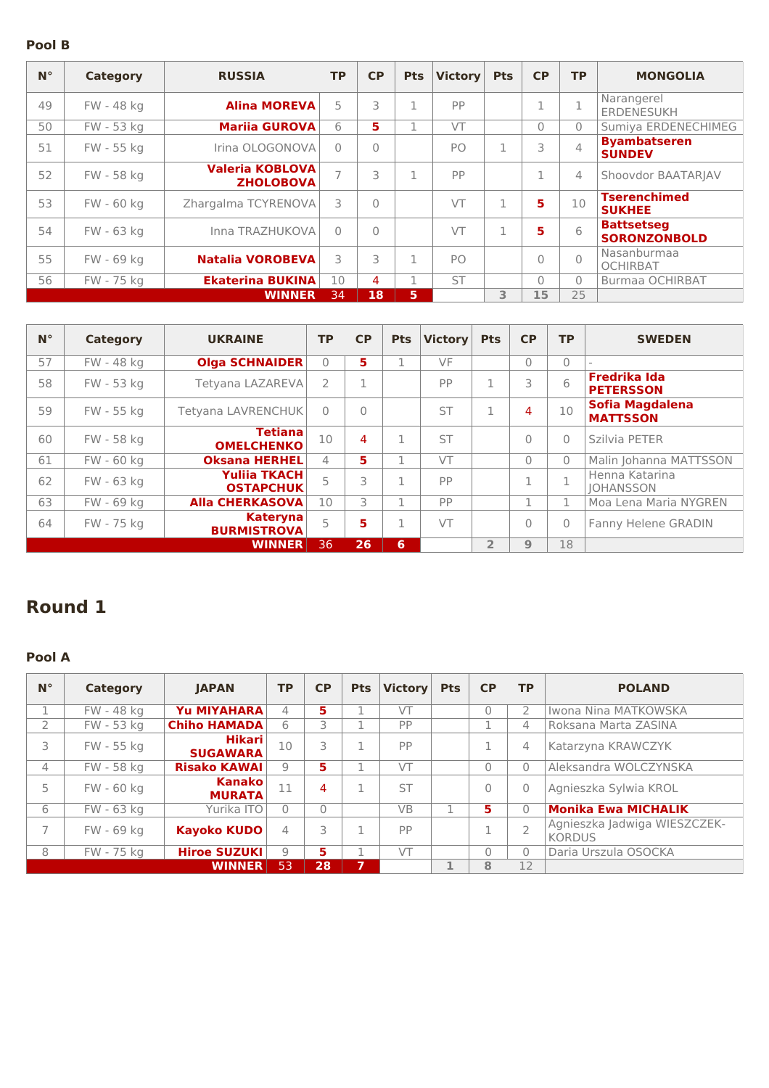#### **Pool B**

| $N^{\circ}$ | <b>Category</b> | <b>RUSSIA</b>                              | <b>TP</b>      | <b>CP</b> | <b>Pts</b>  | <b>Victory</b> | <b>Pts</b> | <b>CP</b> | TP.                      | <b>MONGOLIA</b>                          |
|-------------|-----------------|--------------------------------------------|----------------|-----------|-------------|----------------|------------|-----------|--------------------------|------------------------------------------|
| 49          | FW - 48 kg      | <b>Alina MOREVA</b>                        | 5              | 3         | 1           | PP             |            |           | п.                       | Narangerel<br><b>ERDENESUKH</b>          |
| 50          | FW - 53 kg      | <b>Mariia GUROVA</b>                       | 6              | 5         | 1           | VT             |            | $\Omega$  | $\Omega$                 | Sumiya ERDENECHIMEG                      |
| 51          | FW - 55 kg      | Irina OLOGONOVA                            | $\Omega$       | $\bigcap$ |             | P <sub>O</sub> |            | 3         | $\overline{\mathcal{L}}$ | <b>Byambatseren</b><br><b>SUNDEV</b>     |
| 52          | FW - 58 kg      | <b>Valeria KOBLOVA</b><br><b>ZHOLOBOVA</b> | $\overline{7}$ | 3         | 1           | PP             |            | 1         | 4                        | Shoovdor BAATARJAV                       |
| 53          | FW - 60 kg      | Zhargalma TCYRENOVA                        | 3              | $\bigcap$ |             | VT             | п          | 5         | 10                       | <b>Tserenchimed</b><br><b>SUKHEE</b>     |
| 54          | FW - 63 kg      | Inna TRAZHUKOVA                            | $\Omega$       | $\bigcap$ |             | VT             | n,         | 5         | 6                        | <b>Battsetseg</b><br><b>SORONZONBOLD</b> |
| 55          | FW - 69 kg      | <b>Natalia VOROBEVA</b>                    | 3              | 3         | $\mathbf 1$ | P <sub>O</sub> |            | $\Omega$  | $\Omega$                 | Nasanburmaa<br><b>OCHIRBAT</b>           |
| 56          | FW - 75 kg      | <b>Ekaterina BUKINA</b>                    | 10             | 4         | 1           | <b>ST</b>      |            | $\Omega$  | $\Omega$                 | Burmaa OCHIRBAT                          |
|             |                 | <b>WINNER</b>                              | 34             | 18        | 5           |                | 3          | 15        | 25                       |                                          |

| $N^{\circ}$ | Category   | <b>UKRAINE</b>                          | <b>TP</b>     | <b>CP</b> | <b>Pts</b> | <b>Victory</b> | <b>Pts</b>     | <b>CP</b>    | <b>TP</b>    | <b>SWEDEN</b>                           |
|-------------|------------|-----------------------------------------|---------------|-----------|------------|----------------|----------------|--------------|--------------|-----------------------------------------|
| 57          | FW - 48 kg | <b>Olga SCHNAIDER</b>                   | $\Omega$      | 5.        |            | VF             |                | $\Omega$     | $\bigcap$    |                                         |
| 58          | FW - 53 kg | Tetyana LAZAREVA                        | $\mathcal{P}$ | п.        |            | PP             | $\mathbf{1}$   | 3            | 6            | <b>Fredrika Ida</b><br><b>PETERSSON</b> |
| 59          | FW - 55 kg | Tetyana LAVRENCHUK                      | $\Omega$      | $\Omega$  |            | <b>ST</b>      | $\mathbf{1}$   | 4            | 10           | Sofia Magdalena<br><b>MATTSSON</b>      |
| 60          | FW - 58 kg | <b>Tetiana</b><br><b>OMELCHENKO</b>     | 10            | 4         | п.         | <b>ST</b>      |                | $\Omega$     | $\Omega$     | Szilvia PETER                           |
| 61          | FW - 60 kg | <b>Oksana HERHEL</b>                    | 4             | 5.        |            | VT             |                | $\Omega$     | $\Omega$     | Malin Johanna MATTSSON                  |
| 62          | FW - 63 kg | <b>Yulija TKACH</b><br><b>OSTAPCHUK</b> | 5             | 3         | п.         | PP             |                | 1.<br>T      | п.           | Henna Katarina<br><b>IOHANSSON</b>      |
| 63          | FW - 69 kg | <b>Alla CHERKASOVA</b>                  | 10            | 3         |            | PP             |                | п            | 1            | Moa Lena Maria NYGREN                   |
| 64          | FW - 75 kg | <b>Kateryna</b><br><b>BURMISTROVA</b>   | 5             | 5         | n.         | VT             |                | $\mathbf{0}$ | $\mathbf{0}$ | Fanny Helene GRADIN                     |
|             |            | <b>WINNER</b>                           | 36            | 26        | 6          |                | $\overline{2}$ | 9            | 18           |                                         |

# **Round 1**

#### **Pool A**

| $N^{\circ}$ | <b>Category</b> | <b>IAPAN</b>                     | <b>TP</b> | <b>CP</b> | <b>Pts</b> | <b>Victory</b> | <b>Pts</b> | <b>CP</b> | <b>TP</b>      | <b>POLAND</b>                                 |
|-------------|-----------------|----------------------------------|-----------|-----------|------------|----------------|------------|-----------|----------------|-----------------------------------------------|
|             | FW - 48 kg      | Yu MIYAHARA                      | 4         | 5.        |            | VT             |            | $\Omega$  | 2              | Iwona Nina MATKOWSKA                          |
|             | FW - 53 kg      | <b>Chiho HAMADA</b>              | 6         |           |            | PP             |            | ×,        | 4              | Roksana Marta ZASINA                          |
| 3           | FW - 55 kg      | <b>Hikari</b><br><b>SUGAWARA</b> | 10        | 3         |            | PP             |            |           | 4              | Katarzyna KRAWCZYK                            |
| 4           | FW - 58 kg      | <b>Risako KAWAI</b>              | 9         | 5.        |            | VT             |            | $\Omega$  | 0              | Aleksandra WOLCZYNSKA                         |
| 5           | FW - 60 kg      | <b>Kanako</b><br><b>MURATA</b>   | 11        | 4         |            | <b>ST</b>      |            | $\Omega$  | 0              | Agnieszka Sylwia KROL                         |
| 6           | FW - 63 kg      | Yurika ITO                       | O         | 0         |            | <b>VB</b>      |            | 5         | $\Omega$       | <b>Monika Ewa MICHALIK</b>                    |
|             | FW - 69 kg      | <b>Kayoko KUDO</b>               | 4         | 3         |            | PP             |            |           | $\overline{2}$ | Agnieszka Jadwiga WIESZCZEK-<br><b>KORDUS</b> |
| 8           | FW - 75 kg      | <b>Hiroe SUZUKI</b>              | 9         | 5.        |            | VT             |            | $\Omega$  | $\Omega$       | Daria Urszula OSOCKA                          |
|             |                 | <b>WINNER</b>                    | 53        | 28        | 7          |                | 1          | 8         | 12             |                                               |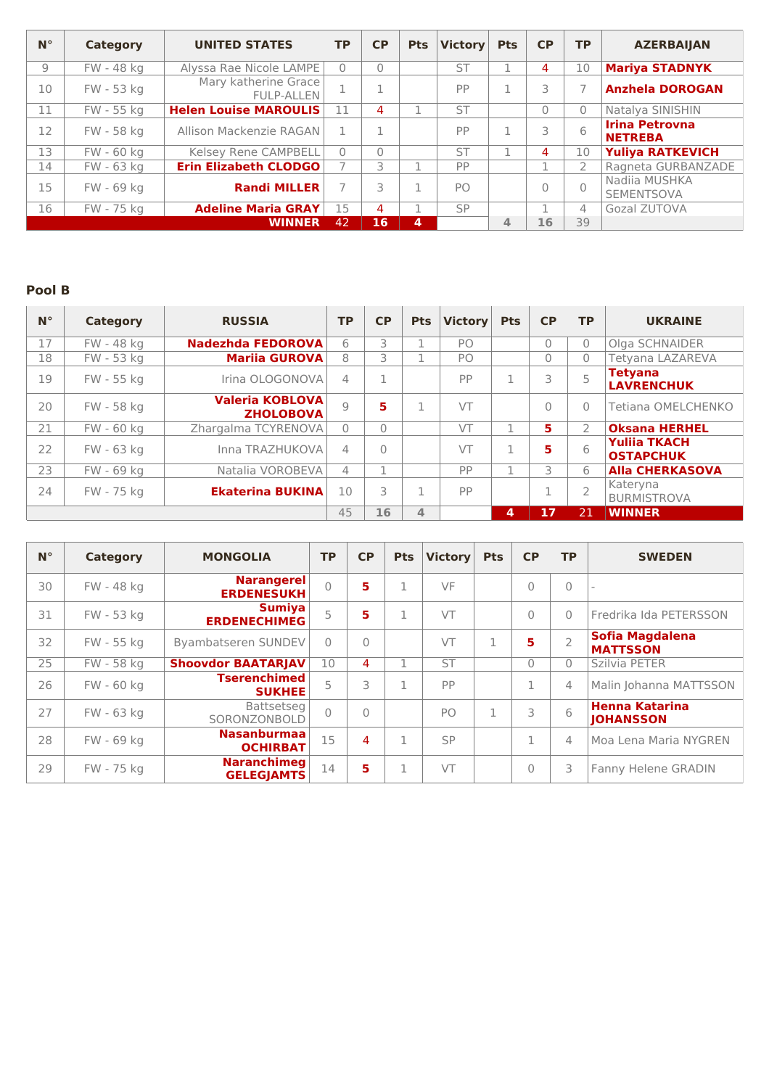| $N^{\circ}$ | Category   | <b>UNITED STATES</b>                      | <b>TP</b> | <b>CP</b> | <b>Pts</b> | <b>Victory</b> | <b>Pts</b> | <b>CP</b> | <b>TP</b>    | <b>AZERBAIJAN</b>                       |
|-------------|------------|-------------------------------------------|-----------|-----------|------------|----------------|------------|-----------|--------------|-----------------------------------------|
| 9           | FW - 48 kg | Alyssa Rae Nicole LAMPE                   | $\Omega$  | $\bigcap$ |            | <b>ST</b>      |            | 4         | 10           | <b>Mariya STADNYK</b>                   |
| 10          | FW - 53 kg | Mary katherine Grace<br><b>FULP-ALLEN</b> |           |           |            | PP             |            |           |              | <b>Anzhela DOROGAN</b>                  |
| 11          | FW - 55 kg | <b>Helen Louise MAROULIS</b>              | 11        | 4         |            | <b>ST</b>      |            | $\Omega$  | $\mathbf{0}$ | Natalya SINISHIN                        |
| 12          | FW - 58 kg | Allison Mackenzie RAGAN                   |           |           |            | PP             |            |           | 6            | <b>Irina Petrovna</b><br><b>NETREBA</b> |
| 13          | FW - 60 kg | Kelsey Rene CAMPBELL                      | $\Omega$  | $\Omega$  |            | <b>ST</b>      |            | 4         | 10           | <b>Yuliya RATKEVICH</b>                 |
| 14          | FW - 63 kg | <b>Erin Elizabeth CLODGO</b>              |           |           |            | PP             |            |           |              | Ragneta GURBANZADE                      |
| 15          | FW - 69 kg | <b>Randi MILLER</b>                       |           |           |            | P <sub>O</sub> |            | 0         |              | Nadija MUSHKA<br><b>SEMENTSOVA</b>      |
| 16          | FW - 75 kg | <b>Adeline Maria GRAY</b>                 | 15        | 4         |            | <b>SP</b>      |            |           | 4            | Gozal ZUTOVA                            |
|             |            | <b>WINNER</b>                             | 42        | 16        | 4          |                | 4          | 16        | 39           |                                         |

#### **Pool B**

| $N^{\circ}$ | Category   | <b>RUSSIA</b>                              | <b>TP</b>      | <b>CP</b> | <b>Pts</b>              | <b>Victory</b> | <b>Pts</b> | CP             | <b>TP</b>                | <b>UKRAINE</b>                          |
|-------------|------------|--------------------------------------------|----------------|-----------|-------------------------|----------------|------------|----------------|--------------------------|-----------------------------------------|
| 17          | FW - 48 kg | Nadezhda FEDOROVA                          | 6              | 3         |                         | PO             |            | $\overline{0}$ | $\Omega$                 | Olga SCHNAIDER                          |
| 18          | FW - 53 kg | <b>Mariia GUROVA</b>                       | 8              | 3         |                         | PO             |            | $\overline{0}$ | $\mathbf{0}$             | Tetyana LAZAREVA                        |
| 19          | FW - 55 kg | Irina OLOGONOVA                            | 4              | n.        |                         | PP             | 1          | 3              | 5                        | <b>Tetyana</b><br><b>LAVRENCHUK</b>     |
| 20          | FW - 58 kg | <b>Valeria KOBLOVA</b><br><b>ZHOLOBOVA</b> | Q              | 5         | 1                       | VT             |            | 0              | $\Omega$                 | Tetiana OMELCHENKO                      |
| 21          | FW - 60 kg | Zhargalma TCYRENOVA                        | $\Omega$       | $\Omega$  |                         | VT             | n          | 5.             | $\mathcal{P}$            | <b>Oksana HERHEL</b>                    |
| 22          | FW - 63 kg | Inna TRAZHUKOVA                            | $\overline{4}$ | $\bigcap$ |                         | VT             | 1          | 5              | 6                        | <b>Yulija TKACH</b><br><b>OSTAPCHUK</b> |
| 23          | FW - 69 kg | Natalia VOROBEVA                           | 4              |           |                         | PP             | ٠          | 3              | 6                        | <b>Alla CHERKASOVA</b>                  |
| 24          | FW - 75 kg | <b>Ekaterina BUKINA</b>                    | 10             | 3         | n.                      | PP             |            |                | $\overline{\phantom{a}}$ | Kateryna<br><b>BURMISTROVA</b>          |
|             |            |                                            |                | 16        | $\overline{\mathbf{A}}$ |                | 4          | 17             | 21                       | <b>WINNER</b>                           |

| $N^{\circ}$ | Category   | <b>MONGOLIA</b>                         | <b>TP</b> | <b>CP</b> | <b>Pts</b>   | <b>Victory</b> | <b>Pts</b>   | CP       | <b>TP</b>                | <b>SWEDEN</b>                             |
|-------------|------------|-----------------------------------------|-----------|-----------|--------------|----------------|--------------|----------|--------------------------|-------------------------------------------|
| 30          | FW - 48 kg | <b>Narangerel</b><br><b>ERDENESUKH</b>  | $\bigcap$ | 5         | 1.           | VF             |              | $\Omega$ | $\mathbf{0}$             | $\overline{\phantom{0}}$                  |
| 31          | FW - 53 kg | <b>Sumiya</b><br><b>ERDENECHIMEG</b>    | 5         | 5         |              | VT             |              | $\Omega$ | $\mathbf{0}$             | Fredrika Ida PETERSSON                    |
| 32          | FW - 55 kg | Byambatseren SUNDEV                     | $\Omega$  | $\Omega$  |              | VT             | 1<br>÷.      | 5        | $\overline{\phantom{a}}$ | <b>Sofia Magdalena</b><br><b>MATTSSON</b> |
| 25          | FW - 58 kg | <b>Shoovdor BAATARJAV</b>               | 10        | 4         |              | <b>ST</b>      |              | $\Omega$ | $\Omega$                 | Szilvia PETER                             |
| 26          | FW - 60 kg | <b>Tserenchimed</b><br><b>SUKHEE</b>    | 5         | 3         |              | PP             |              | 1        | 4                        | Malin Johanna MATTSSON                    |
| 27          | FW - 63 kg | Battsetseg<br>SORONZONBOLD              | $\bigcap$ | $\bigcap$ |              | PO.            | $\mathbf{1}$ | 3        | 6                        | <b>Henna Katarina</b><br><b>JOHANSSON</b> |
| 28          | FW - 69 kg | <b>Nasanburmaa</b><br><b>OCHIRBAT</b>   | 15        | 4         | $\mathbf{1}$ | <b>SP</b>      |              | 1        | 4                        | Moa Lena Maria NYGREN                     |
| 29          | FW - 75 kg | <b>Naranchimeg</b><br><b>GELEGJAMTS</b> | 14        | 5         | 1            | VT             |              | $\Omega$ | 3                        | Fanny Helene GRADIN                       |